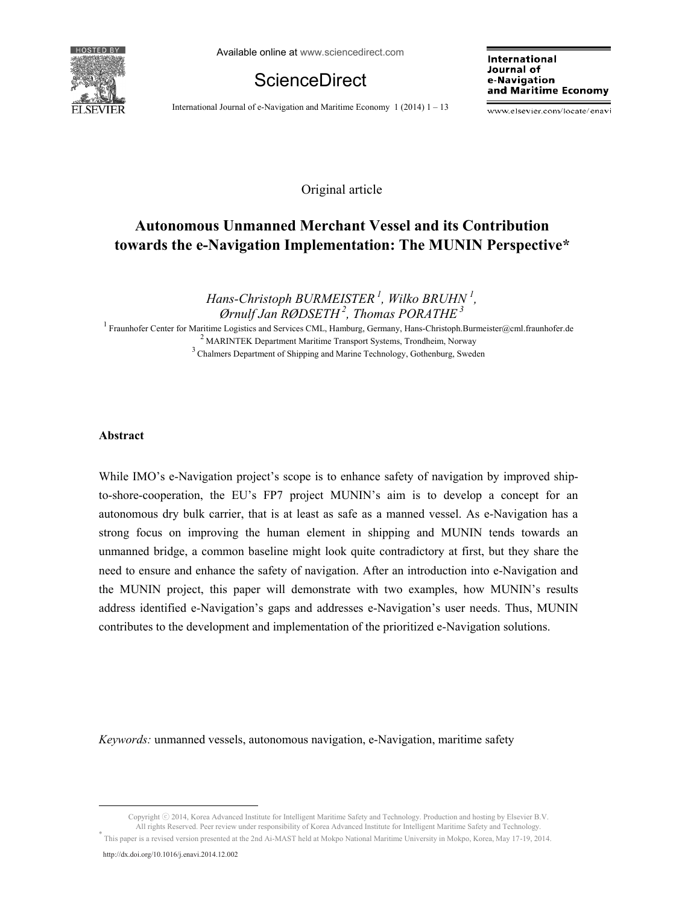

Available online at www.sciencedirect.com

**ScienceDirect** 

International Journal of e-Navigation and Maritime Economy  $1(2014)$  1 – 13

International Journal of e-Navigation and Maritime Economy

www.elsevier.com/locate/enavi

Original article

# **Autonomous Unmanned Merchant Vessel and its Contribution towards the e-Navigation Implementation: The MUNIN Perspective\***

*Hans-Christoph BURMEISTER 1, Wilko BRUHN <sup>1</sup> , Ørnulf Jan RØDSETH 2, Thomas PORATHE 3*

<sup>1</sup> Fraunhofer Center for Maritime Logistics and Services CML, Hamburg, Germany, Hans-Christoph.Burmeister@cml.fraunhofer.de <sup>2</sup> MARINTEK Department Maritime Transport Systems, Trondheim, Norway 3 Chalmers Department of Shipping and Marine Technology, Gothenburg, Sweden

## **Abstract**

While IMO's e-Navigation project's scope is to enhance safety of navigation by improved shipto-shore-cooperation, the EU's FP7 project MUNIN's aim is to develop a concept for an autonomous dry bulk carrier, that is at least as safe as a manned vessel. As e-Navigation has a strong focus on improving the human element in shipping and MUNIN tends towards an unmanned bridge, a common baseline might look quite contradictory at first, but they share the need to ensure and enhance the safety of navigation. After an introduction into e-Navigation and the MUNIN project, this paper will demonstrate with two examples, how MUNIN's results address identified e-Navigation's gaps and addresses e-Navigation's user needs. Thus, MUNIN contributes to the development and implementation of the prioritized e-Navigation solutions.

*Keywords:* unmanned vessels, autonomous navigation, e-Navigation, maritime safety

Copyright © 2014, Korea Advanced Institute for Intelligent Maritime Safety and Technology. Production and hosting by Elsevier B.V.<br>All rights Reserved. Peer review under responsibility of Korea Advanced Institute for Intel This paper is a revised version presented at the 2nd Ai-MAST held at Mokpo National Maritime University in Mokpo, Korea, May 17-19, 2014.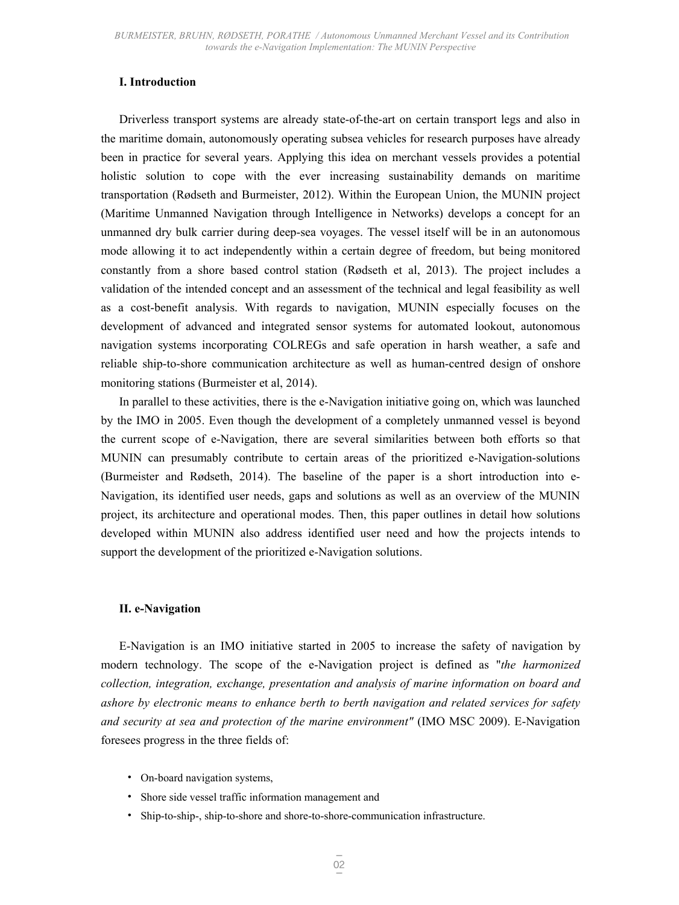## **I. Introduction**

Driverless transport systems are already state-of-the-art on certain transport legs and also in the maritime domain, autonomously operating subsea vehicles for research purposes have already been in practice for several years. Applying this idea on merchant vessels provides a potential holistic solution to cope with the ever increasing sustainability demands on maritime transportation (Rødseth and Burmeister, 2012). Within the European Union, the MUNIN project (Maritime Unmanned Navigation through Intelligence in Networks) develops a concept for an unmanned dry bulk carrier during deep-sea voyages. The vessel itself will be in an autonomous mode allowing it to act independently within a certain degree of freedom, but being monitored constantly from a shore based control station (Rødseth et al, 2013). The project includes a validation of the intended concept and an assessment of the technical and legal feasibility as well as a cost-benefit analysis. With regards to navigation, MUNIN especially focuses on the development of advanced and integrated sensor systems for automated lookout, autonomous navigation systems incorporating COLREGs and safe operation in harsh weather, a safe and reliable ship-to-shore communication architecture as well as human-centred design of onshore monitoring stations (Burmeister et al, 2014).

In parallel to these activities, there is the e-Navigation initiative going on, which was launched by the IMO in 2005. Even though the development of a completely unmanned vessel is beyond the current scope of e-Navigation, there are several similarities between both efforts so that MUNIN can presumably contribute to certain areas of the prioritized e-Navigation-solutions (Burmeister and Rødseth, 2014). The baseline of the paper is a short introduction into e-Navigation, its identified user needs, gaps and solutions as well as an overview of the MUNIN project, its architecture and operational modes. Then, this paper outlines in detail how solutions developed within MUNIN also address identified user need and how the projects intends to support the development of the prioritized e-Navigation solutions.

## **II. e-Navigation**

E-Navigation is an IMO initiative started in 2005 to increase the safety of navigation by modern technology. The scope of the e-Navigation project is defined as "*the harmonized collection, integration, exchange, presentation and analysis of marine information on board and ashore by electronic means to enhance berth to berth navigation and related services for safety and security at sea and protection of the marine environment"* (IMO MSC 2009). E-Navigation foresees progress in the three fields of:

- On-board navigation systems,
- Shore side vessel traffic information management and
- Ship-to-ship-, ship-to-shore and shore-to-shore-communication infrastructure.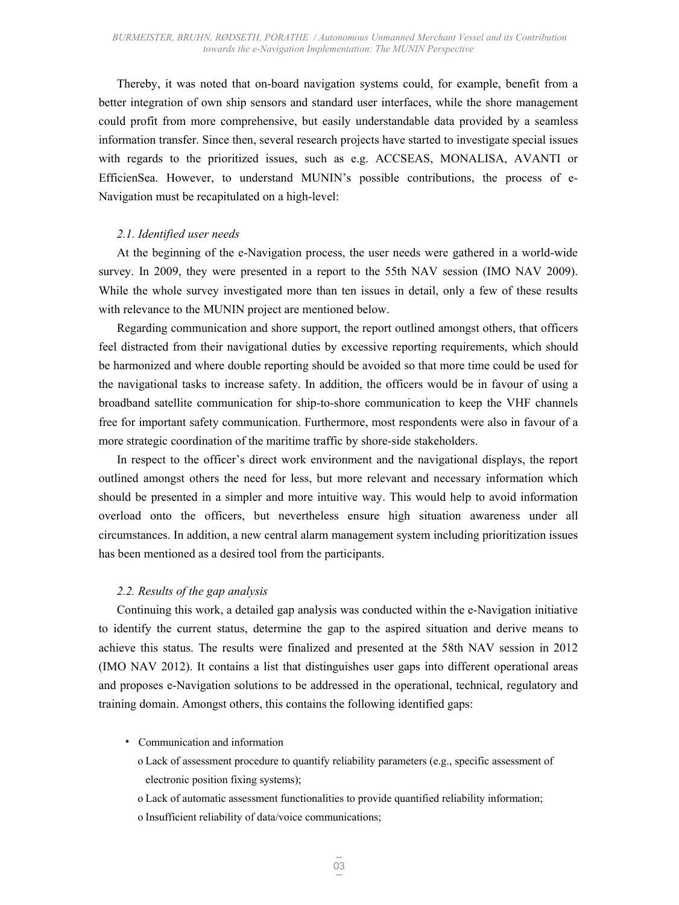Thereby, it was noted that on-board navigation systems could, for example, benefit from a better integration of own ship sensors and standard user interfaces, while the shore management could profit from more comprehensive, but easily understandable data provided by a seamless information transfer. Since then, several research projects have started to investigate special issues with regards to the prioritized issues, such as e.g. ACCSEAS, MONALISA, AVANTI or EfficienSea. However, to understand MUNIN's possible contributions, the process of e-Navigation must be recapitulated on a high-level:

#### *2.1. Identified user needs*

At the beginning of the e-Navigation process, the user needs were gathered in a world-wide survey. In 2009, they were presented in a report to the 55th NAV session (IMO NAV 2009). While the whole survey investigated more than ten issues in detail, only a few of these results with relevance to the MUNIN project are mentioned below.

Regarding communication and shore support, the report outlined amongst others, that officers feel distracted from their navigational duties by excessive reporting requirements, which should be harmonized and where double reporting should be avoided so that more time could be used for the navigational tasks to increase safety. In addition, the officers would be in favour of using a broadband satellite communication for ship-to-shore communication to keep the VHF channels free for important safety communication. Furthermore, most respondents were also in favour of a more strategic coordination of the maritime traffic by shore-side stakeholders.

In respect to the officer's direct work environment and the navigational displays, the report outlined amongst others the need for less, but more relevant and necessary information which should be presented in a simpler and more intuitive way. This would help to avoid information overload onto the officers, but nevertheless ensure high situation awareness under all circumstances. In addition, a new central alarm management system including prioritization issues has been mentioned as a desired tool from the participants.

### *2.2. Results of the gap analysis*

Continuing this work, a detailed gap analysis was conducted within the e-Navigation initiative to identify the current status, determine the gap to the aspired situation and derive means to achieve this status. The results were finalized and presented at the 58th NAV session in 2012 (IMO NAV 2012). It contains a list that distinguishes user gaps into different operational areas and proposes e-Navigation solutions to be addressed in the operational, technical, regulatory and training domain. Amongst others, this contains the following identified gaps:

- Communication and information
	- o Lack of assessment procedure to quantify reliability parameters (e.g., specific assessment of electronic position fixing systems);
	- o Lack of automatic assessment functionalities to provide quantified reliability information;
	- o Insufficient reliability of data/voice communications;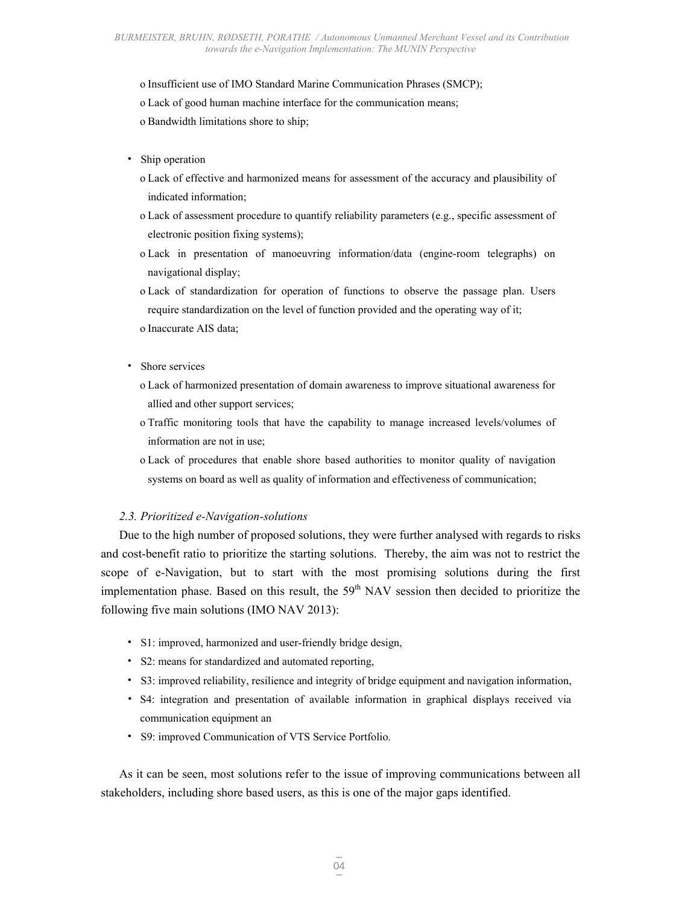o Insufficient use of IMO Standard Marine Communication Phrases (SMCP);

o Lack of good human machine interface for the communication means;

o Bandwidth limitations shore to ship;

- Ship operation
	- o Lack of effective and harmonized means for assessment of the accuracy and plausibility of indicated information;
	- o Lack of assessment procedure to quantify reliability parameters (e.g., specific assessment of electronic position fixing systems);
	- o Lack in presentation of manoeuvring information/data (engine-room telegraphs) on navigational display;
	- o Lack of standardization for operation of functions to observe the passage plan. Users require standardization on the level of function provided and the operating way of it;
	- o Inaccurate AIS data;
- Shore services
	- o Lack of harmonized presentation of domain awareness to improve situational awareness for allied and other support services;
	- o Traffic monitoring tools that have the capability to manage increased levels/volumes of information are not in use;
	- o Lack of procedures that enable shore based authorities to monitor quality of navigation systems on board as well as quality of information and effectiveness of communication;

## *2.3. Prioritized e-Navigation-solutions*

Due to the high number of proposed solutions, they were further analysed with regards to risks and cost-benefit ratio to prioritize the starting solutions. Thereby, the aim was not to restrict the scope of e-Navigation, but to start with the most promising solutions during the first implementation phase. Based on this result, the 59<sup>th</sup> NAV session then decided to prioritize the following five main solutions (IMO NAV 2013):

- S1: improved, harmonized and user-friendly bridge design,
- S2: means for standardized and automated reporting,
- S3: improved reliability, resilience and integrity of bridge equipment and navigation information,
- S4: integration and presentation of available information in graphical displays received via communication equipment an
- S9: improved Communication of VTS Service Portfolio.

As it can be seen, most solutions refer to the issue of improving communications between all stakeholders, including shore based users, as this is one of the major gaps identified.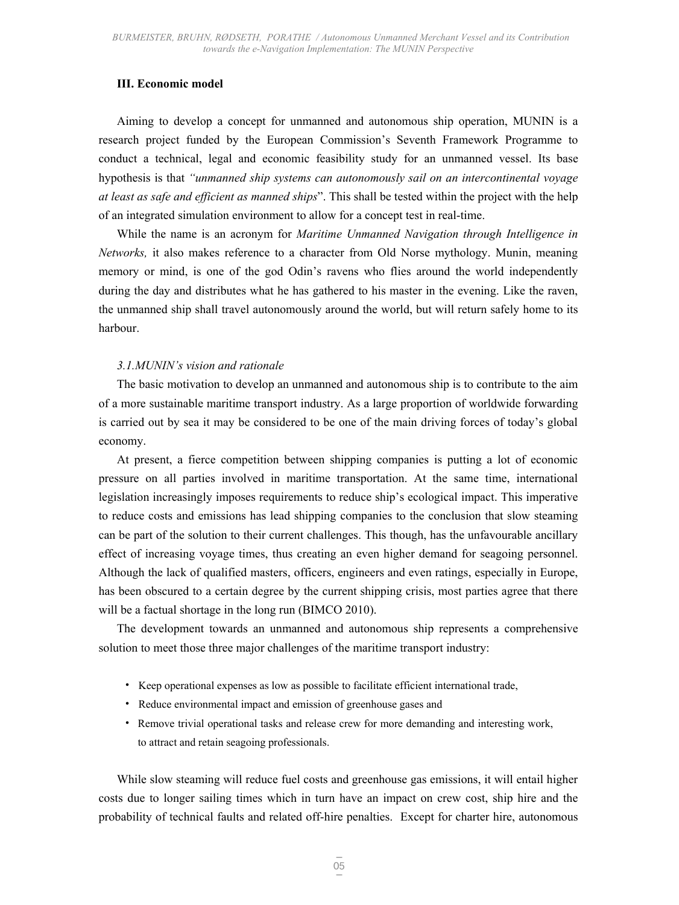## **III. Economic model**

Aiming to develop a concept for unmanned and autonomous ship operation, MUNIN is a research project funded by the European Commission's Seventh Framework Programme to conduct a technical, legal and economic feasibility study for an unmanned vessel. Its base hypothesis is that *"unmanned ship systems can autonomously sail on an intercontinental voyage at least as safe and efficient as manned ships*". This shall be tested within the project with the help of an integrated simulation environment to allow for a concept test in real-time.

While the name is an acronym for *Maritime Unmanned Navigation through Intelligence in Networks,* it also makes reference to a character from Old Norse mythology. Munin, meaning memory or mind, is one of the god Odin's ravens who flies around the world independently during the day and distributes what he has gathered to his master in the evening. Like the raven, the unmanned ship shall travel autonomously around the world, but will return safely home to its harbour.

### *3.1.MUNIN's vision and rationale*

The basic motivation to develop an unmanned and autonomous ship is to contribute to the aim of a more sustainable maritime transport industry. As a large proportion of worldwide forwarding is carried out by sea it may be considered to be one of the main driving forces of today's global economy.

At present, a fierce competition between shipping companies is putting a lot of economic pressure on all parties involved in maritime transportation. At the same time, international legislation increasingly imposes requirements to reduce ship's ecological impact. This imperative to reduce costs and emissions has lead shipping companies to the conclusion that slow steaming can be part of the solution to their current challenges. This though, has the unfavourable ancillary effect of increasing voyage times, thus creating an even higher demand for seagoing personnel. Although the lack of qualified masters, officers, engineers and even ratings, especially in Europe, has been obscured to a certain degree by the current shipping crisis, most parties agree that there will be a factual shortage in the long run (BIMCO 2010).

The development towards an unmanned and autonomous ship represents a comprehensive solution to meet those three major challenges of the maritime transport industry:

- Keep operational expenses as low as possible to facilitate efficient international trade,
- Reduce environmental impact and emission of greenhouse gases and
- Remove trivial operational tasks and release crew for more demanding and interesting work, to attract and retain seagoing professionals.

While slow steaming will reduce fuel costs and greenhouse gas emissions, it will entail higher costs due to longer sailing times which in turn have an impact on crew cost, ship hire and the probability of technical faults and related off-hire penalties. Except for charter hire, autonomous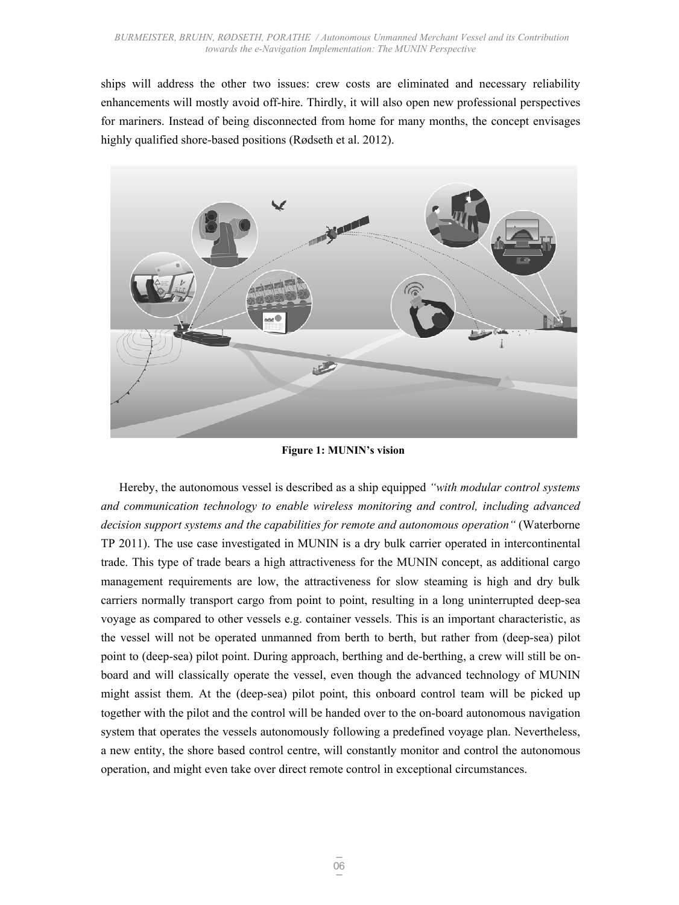ships will address the other two issues: crew costs are eliminated and necessary reliability enhancements will mostly avoid off-hire. Thirdly, it will also open new professional perspectives for mariners. Instead of being disconnected from home for many months, the concept envisages highly qualified shore-based positions (Rødseth et al. 2012).



**Figure 1: MUNIN's vision** 

Hereby, the autonomous vessel is described as a ship equipped *"with modular control systems and communication technology to enable wireless monitoring and control, including advanced decision support systems and the capabilities for remote and autonomous operation"* (Waterborne TP 2011). The use case investigated in MUNIN is a dry bulk carrier operated in intercontinental trade. This type of trade bears a high attractiveness for the MUNIN concept, as additional cargo management requirements are low, the attractiveness for slow steaming is high and dry bulk carriers normally transport cargo from point to point, resulting in a long uninterrupted deep-sea voyage as compared to other vessels e.g. container vessels. This is an important characteristic, as the vessel will not be operated unmanned from berth to berth, but rather from (deep-sea) pilot point to (deep-sea) pilot point. During approach, berthing and de-berthing, a crew will still be onboard and will classically operate the vessel, even though the advanced technology of MUNIN might assist them. At the (deep-sea) pilot point, this onboard control team will be picked up together with the pilot and the control will be handed over to the on-board autonomous navigation system that operates the vessels autonomously following a predefined voyage plan. Nevertheless, a new entity, the shore based control centre, will constantly monitor and control the autonomous operation, and might even take over direct remote control in exceptional circumstances.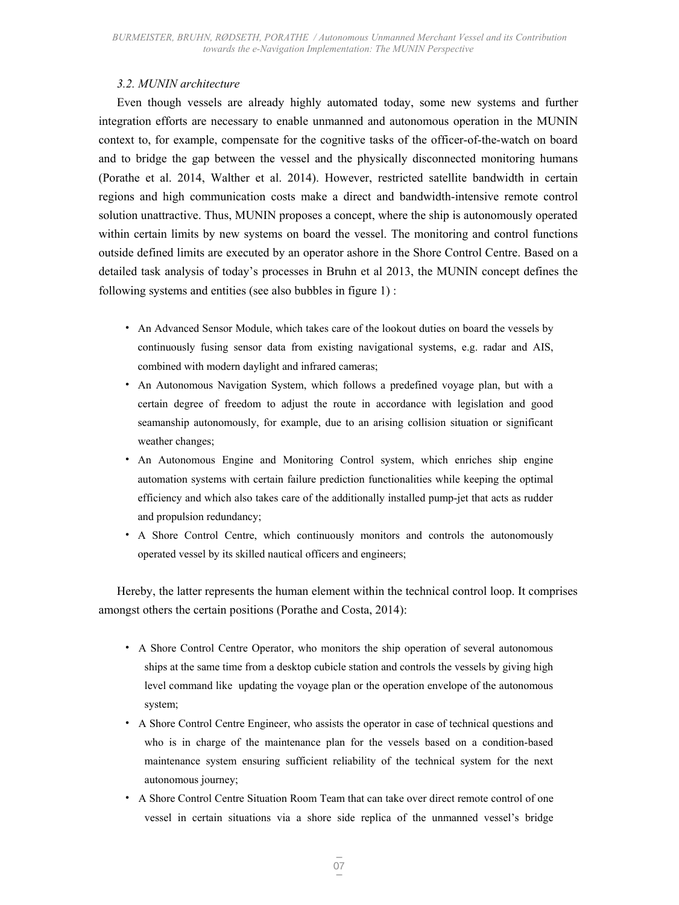## *3.2. MUNIN architecture*

Even though vessels are already highly automated today, some new systems and further integration efforts are necessary to enable unmanned and autonomous operation in the MUNIN context to, for example, compensate for the cognitive tasks of the officer-of-the-watch on board and to bridge the gap between the vessel and the physically disconnected monitoring humans (Porathe et al. 2014, Walther et al. 2014). However, restricted satellite bandwidth in certain regions and high communication costs make a direct and bandwidth-intensive remote control solution unattractive. Thus, MUNIN proposes a concept, where the ship is autonomously operated within certain limits by new systems on board the vessel. The monitoring and control functions outside defined limits are executed by an operator ashore in the Shore Control Centre. Based on a detailed task analysis of today's processes in Bruhn et al 2013, the MUNIN concept defines the following systems and entities (see also bubbles in figure 1) :

- An Advanced Sensor Module, which takes care of the lookout duties on board the vessels by continuously fusing sensor data from existing navigational systems, e.g. radar and AIS, combined with modern daylight and infrared cameras;
- An Autonomous Navigation System, which follows a predefined voyage plan, but with a certain degree of freedom to adjust the route in accordance with legislation and good seamanship autonomously, for example, due to an arising collision situation or significant weather changes;
- An Autonomous Engine and Monitoring Control system, which enriches ship engine automation systems with certain failure prediction functionalities while keeping the optimal efficiency and which also takes care of the additionally installed pump-jet that acts as rudder and propulsion redundancy;
- A Shore Control Centre, which continuously monitors and controls the autonomously operated vessel by its skilled nautical officers and engineers;

Hereby, the latter represents the human element within the technical control loop. It comprises amongst others the certain positions (Porathe and Costa, 2014):

- A Shore Control Centre Operator, who monitors the ship operation of several autonomous ships at the same time from a desktop cubicle station and controls the vessels by giving high level command like updating the voyage plan or the operation envelope of the autonomous system;
- A Shore Control Centre Engineer, who assists the operator in case of technical questions and who is in charge of the maintenance plan for the vessels based on a condition-based maintenance system ensuring sufficient reliability of the technical system for the next autonomous journey;
- A Shore Control Centre Situation Room Team that can take over direct remote control of one vessel in certain situations via a shore side replica of the unmanned vessel's bridge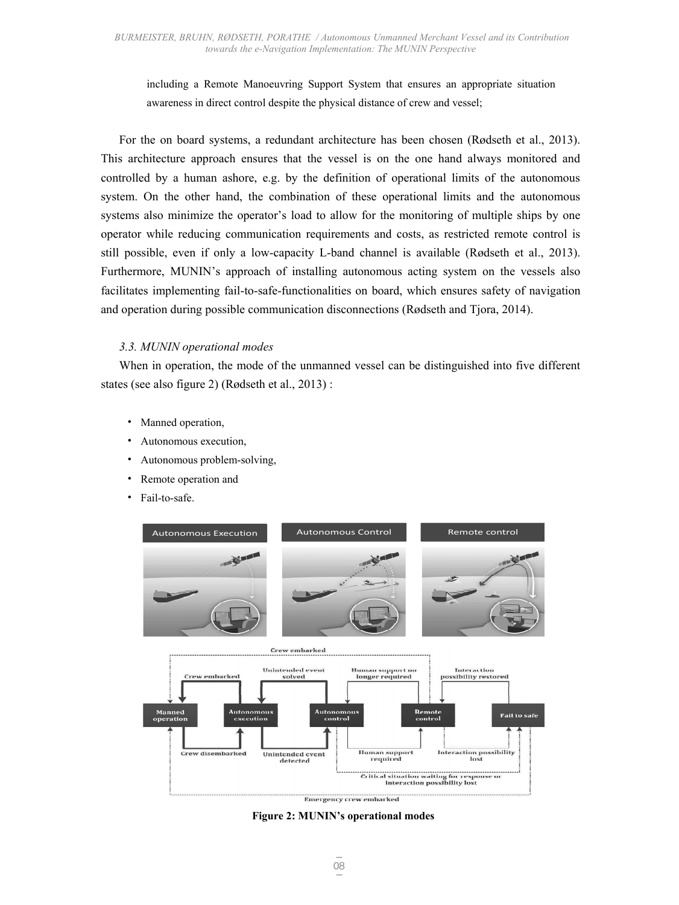including a Remote Manoeuvring Support System that ensures an appropriate situation awareness in direct control despite the physical distance of crew and vessel;

For the on board systems, a redundant architecture has been chosen (Rødseth et al., 2013). This architecture approach ensures that the vessel is on the one hand always monitored and controlled by a human ashore, e.g. by the definition of operational limits of the autonomous system. On the other hand, the combination of these operational limits and the autonomous systems also minimize the operator's load to allow for the monitoring of multiple ships by one operator while reducing communication requirements and costs, as restricted remote control is still possible, even if only a low-capacity L-band channel is available (Rødseth et al., 2013). Furthermore, MUNIN's approach of installing autonomous acting system on the vessels also facilitates implementing fail-to-safe-functionalities on board, which ensures safety of navigation and operation during possible communication disconnections (Rødseth and Tjora, 2014).

## *3.3. MUNIN operational modes*

When in operation, the mode of the unmanned vessel can be distinguished into five different states (see also figure 2) (Rødseth et al., 2013) :

- Manned operation,
- Autonomous execution,
- Autonomous problem-solving,
- Remote operation and
- Fail-to-safe.



**Figure 2: MUNIN's operational modes**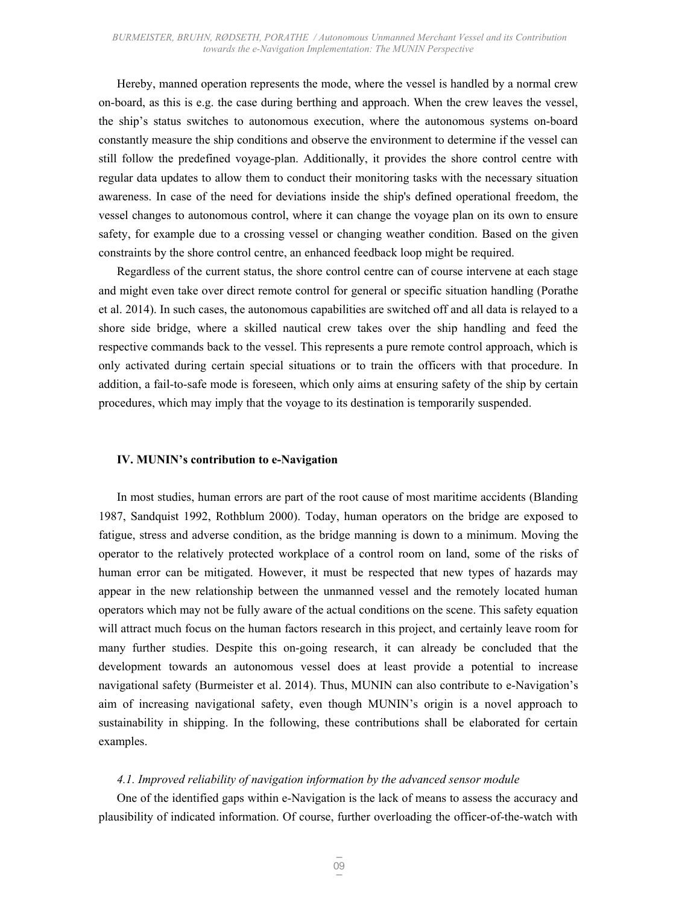Hereby, manned operation represents the mode, where the vessel is handled by a normal crew on-board, as this is e.g. the case during berthing and approach. When the crew leaves the vessel, the ship's status switches to autonomous execution, where the autonomous systems on-board constantly measure the ship conditions and observe the environment to determine if the vessel can still follow the predefined voyage-plan. Additionally, it provides the shore control centre with regular data updates to allow them to conduct their monitoring tasks with the necessary situation awareness. In case of the need for deviations inside the ship's defined operational freedom, the vessel changes to autonomous control, where it can change the voyage plan on its own to ensure safety, for example due to a crossing vessel or changing weather condition. Based on the given constraints by the shore control centre, an enhanced feedback loop might be required.

Regardless of the current status, the shore control centre can of course intervene at each stage and might even take over direct remote control for general or specific situation handling (Porathe et al. 2014). In such cases, the autonomous capabilities are switched off and all data is relayed to a shore side bridge, where a skilled nautical crew takes over the ship handling and feed the respective commands back to the vessel. This represents a pure remote control approach, which is only activated during certain special situations or to train the officers with that procedure. In addition, a fail-to-safe mode is foreseen, which only aims at ensuring safety of the ship by certain procedures, which may imply that the voyage to its destination is temporarily suspended.

#### **IV. MUNIN's contribution to e-Navigation**

In most studies, human errors are part of the root cause of most maritime accidents (Blanding 1987, Sandquist 1992, Rothblum 2000). Today, human operators on the bridge are exposed to fatigue, stress and adverse condition, as the bridge manning is down to a minimum. Moving the operator to the relatively protected workplace of a control room on land, some of the risks of human error can be mitigated. However, it must be respected that new types of hazards may appear in the new relationship between the unmanned vessel and the remotely located human operators which may not be fully aware of the actual conditions on the scene. This safety equation will attract much focus on the human factors research in this project, and certainly leave room for many further studies. Despite this on-going research, it can already be concluded that the development towards an autonomous vessel does at least provide a potential to increase navigational safety (Burmeister et al. 2014). Thus, MUNIN can also contribute to e-Navigation's aim of increasing navigational safety, even though MUNIN's origin is a novel approach to sustainability in shipping. In the following, these contributions shall be elaborated for certain examples.

#### *4.1. Improved reliability of navigation information by the advanced sensor module*

One of the identified gaps within e-Navigation is the lack of means to assess the accuracy and plausibility of indicated information. Of course, further overloading the officer-of-the-watch with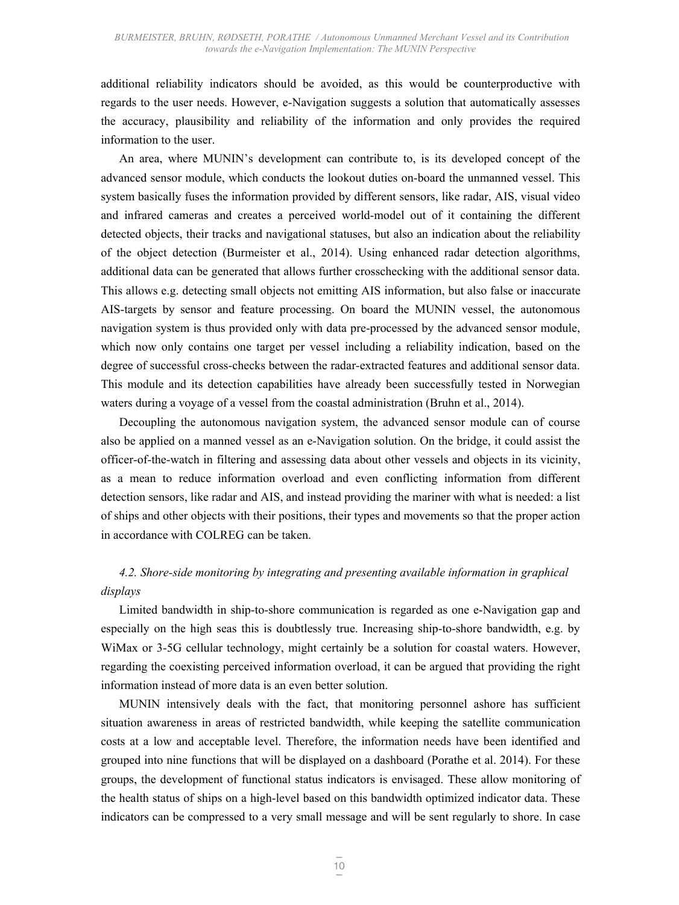additional reliability indicators should be avoided, as this would be counterproductive with regards to the user needs. However, e-Navigation suggests a solution that automatically assesses the accuracy, plausibility and reliability of the information and only provides the required information to the user.

An area, where MUNIN's development can contribute to, is its developed concept of the advanced sensor module, which conducts the lookout duties on-board the unmanned vessel. This system basically fuses the information provided by different sensors, like radar, AIS, visual video and infrared cameras and creates a perceived world-model out of it containing the different detected objects, their tracks and navigational statuses, but also an indication about the reliability of the object detection (Burmeister et al., 2014). Using enhanced radar detection algorithms, additional data can be generated that allows further crosschecking with the additional sensor data. This allows e.g. detecting small objects not emitting AIS information, but also false or inaccurate AIS-targets by sensor and feature processing. On board the MUNIN vessel, the autonomous navigation system is thus provided only with data pre-processed by the advanced sensor module, which now only contains one target per vessel including a reliability indication, based on the degree of successful cross-checks between the radar-extracted features and additional sensor data. This module and its detection capabilities have already been successfully tested in Norwegian waters during a voyage of a vessel from the coastal administration (Bruhn et al., 2014).

Decoupling the autonomous navigation system, the advanced sensor module can of course also be applied on a manned vessel as an e-Navigation solution. On the bridge, it could assist the officer-of-the-watch in filtering and assessing data about other vessels and objects in its vicinity, as a mean to reduce information overload and even conflicting information from different detection sensors, like radar and AIS, and instead providing the mariner with what is needed: a list of ships and other objects with their positions, their types and movements so that the proper action in accordance with COLREG can be taken.

## *4.2. Shore-side monitoring by integrating and presenting available information in graphical displays*

Limited bandwidth in ship-to-shore communication is regarded as one e-Navigation gap and especially on the high seas this is doubtlessly true. Increasing ship-to-shore bandwidth, e.g. by WiMax or 3-5G cellular technology, might certainly be a solution for coastal waters. However, regarding the coexisting perceived information overload, it can be argued that providing the right information instead of more data is an even better solution.

MUNIN intensively deals with the fact, that monitoring personnel ashore has sufficient situation awareness in areas of restricted bandwidth, while keeping the satellite communication costs at a low and acceptable level. Therefore, the information needs have been identified and grouped into nine functions that will be displayed on a dashboard (Porathe et al. 2014). For these groups, the development of functional status indicators is envisaged. These allow monitoring of the health status of ships on a high-level based on this bandwidth optimized indicator data. These indicators can be compressed to a very small message and will be sent regularly to shore. In case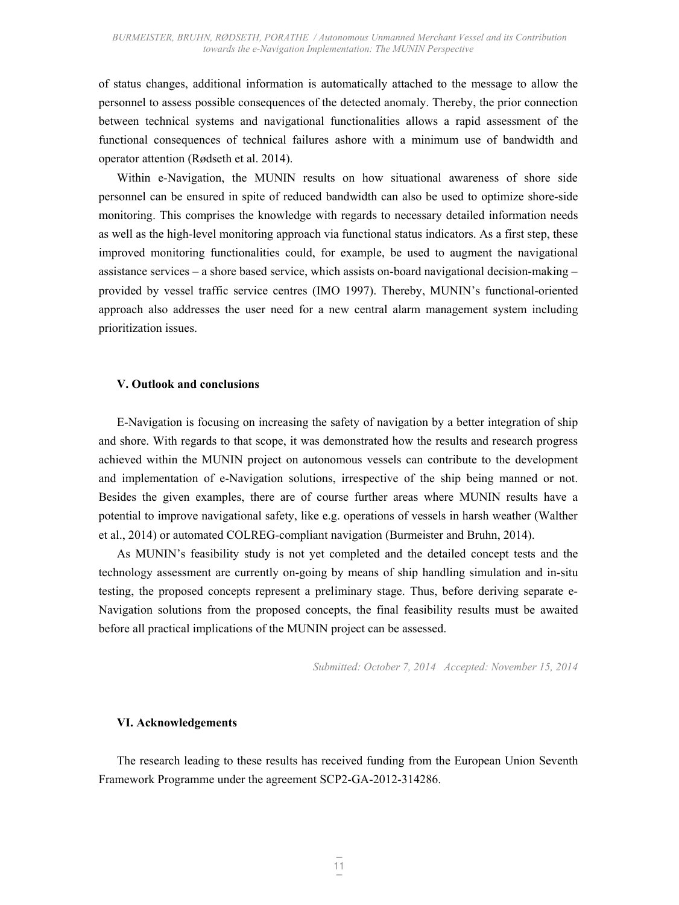of status changes, additional information is automatically attached to the message to allow the personnel to assess possible consequences of the detected anomaly. Thereby, the prior connection between technical systems and navigational functionalities allows a rapid assessment of the functional consequences of technical failures ashore with a minimum use of bandwidth and operator attention (Rødseth et al. 2014).

Within e-Navigation, the MUNIN results on how situational awareness of shore side personnel can be ensured in spite of reduced bandwidth can also be used to optimize shore-side monitoring. This comprises the knowledge with regards to necessary detailed information needs as well as the high-level monitoring approach via functional status indicators. As a first step, these improved monitoring functionalities could, for example, be used to augment the navigational assistance services – a shore based service, which assists on-board navigational decision-making – provided by vessel traffic service centres (IMO 1997). Thereby, MUNIN's functional-oriented approach also addresses the user need for a new central alarm management system including prioritization issues.

## **V. Outlook and conclusions**

E-Navigation is focusing on increasing the safety of navigation by a better integration of ship and shore. With regards to that scope, it was demonstrated how the results and research progress achieved within the MUNIN project on autonomous vessels can contribute to the development and implementation of e-Navigation solutions, irrespective of the ship being manned or not. Besides the given examples, there are of course further areas where MUNIN results have a potential to improve navigational safety, like e.g. operations of vessels in harsh weather (Walther et al., 2014) or automated COLREG-compliant navigation (Burmeister and Bruhn, 2014).

As MUNIN's feasibility study is not yet completed and the detailed concept tests and the technology assessment are currently on-going by means of ship handling simulation and in-situ testing, the proposed concepts represent a preliminary stage. Thus, before deriving separate e-Navigation solutions from the proposed concepts, the final feasibility results must be awaited before all practical implications of the MUNIN project can be assessed.

*Submitted: October 7, 2014 Accepted: November 15, 2014*

#### **VI. Acknowledgements**

The research leading to these results has received funding from the European Union Seventh Framework Programme under the agreement SCP2-GA-2012-314286.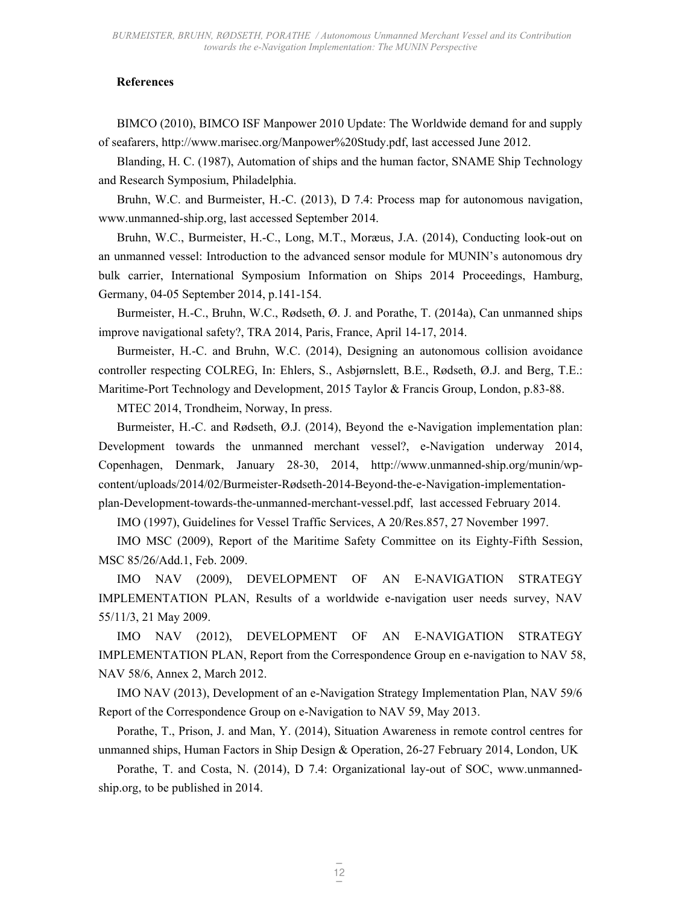### **References**

BIMCO (2010), BIMCO ISF Manpower 2010 Update: The Worldwide demand for and supply of seafarers, http://www.marisec.org/Manpower%20Study.pdf, last accessed June 2012.

Blanding, H. C. (1987), Automation of ships and the human factor, SNAME Ship Technology and Research Symposium, Philadelphia.

Bruhn, W.C. and Burmeister, H.-C. (2013), D 7.4: Process map for autonomous navigation, www.unmanned-ship.org, last accessed September 2014.

Bruhn, W.C., Burmeister, H.-C., Long, M.T., Moræus, J.A. (2014), Conducting look-out on an unmanned vessel: Introduction to the advanced sensor module for MUNIN's autonomous dry bulk carrier, International Symposium Information on Ships 2014 Proceedings, Hamburg, Germany, 04-05 September 2014, p.141-154.

Burmeister, H.-C., Bruhn, W.C., Rødseth, Ø. J. and Porathe, T. (2014a), Can unmanned ships improve navigational safety?, TRA 2014, Paris, France, April 14-17, 2014.

Burmeister, H.-C. and Bruhn, W.C. (2014), Designing an autonomous collision avoidance controller respecting COLREG, In: Ehlers, S., Asbjørnslett, B.E., Rødseth, Ø.J. and Berg, T.E.: Maritime-Port Technology and Development, 2015 Taylor & Francis Group, London, p.83-88.

MTEC 2014, Trondheim, Norway, In press.

Burmeister, H.-C. and Rødseth, Ø.J. (2014), Beyond the e-Navigation implementation plan: Development towards the unmanned merchant vessel?, e-Navigation underway 2014, Copenhagen, Denmark, January 28-30, 2014, http://www.unmanned-ship.org/munin/wpcontent/uploads/2014/02/Burmeister-Rødseth-2014-Beyond-the-e-Navigation-implementationplan-Development-towards-the-unmanned-merchant-vessel.pdf, last accessed February 2014.

IMO (1997), Guidelines for Vessel Traffic Services, A 20/Res.857, 27 November 1997.

IMO MSC (2009), Report of the Maritime Safety Committee on its Eighty-Fifth Session, MSC 85/26/Add.1, Feb. 2009.

IMO NAV (2009), DEVELOPMENT OF AN E-NAVIGATION STRATEGY IMPLEMENTATION PLAN, Results of a worldwide e-navigation user needs survey, NAV 55/11/3, 21 May 2009.

IMO NAV (2012), DEVELOPMENT OF AN E-NAVIGATION STRATEGY IMPLEMENTATION PLAN, Report from the Correspondence Group en e-navigation to NAV 58, NAV 58/6, Annex 2, March 2012.

IMO NAV (2013), Development of an e-Navigation Strategy Implementation Plan, NAV 59/6 Report of the Correspondence Group on e-Navigation to NAV 59, May 2013.

Porathe, T., Prison, J. and Man, Y. (2014), Situation Awareness in remote control centres for unmanned ships, Human Factors in Ship Design & Operation, 26-27 February 2014, London, UK

Porathe, T. and Costa, N. (2014), D 7.4: Organizational lay-out of SOC, www.unmannedship.org, to be published in 2014.